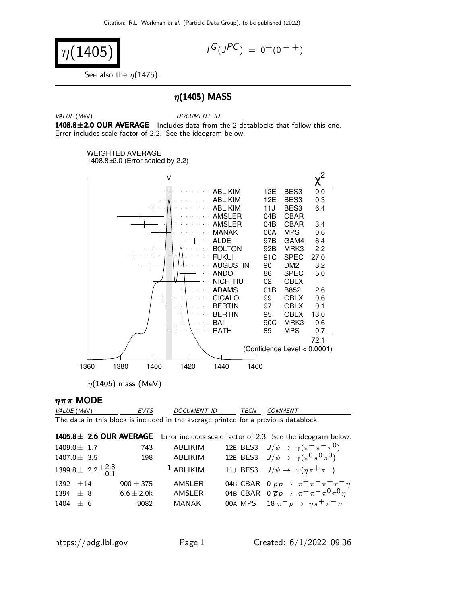$$
\eta(1405)
$$

$$
I^G(J^{PC}) = 0^+(0^{-+})
$$

See also the  $\eta(1475)$ .

#### $\eta$ (1405) MASS

VALUE (MeV) DOCUMENT ID  $1408.8\pm2.0$  OUR AVERAGE Includes data from the 2 datablocks that follow this one. Error includes scale factor of 2.2. See the ideogram below.



 $\eta$ (1405) mass (MeV)

#### $\eta \pi \pi$  MODE

VALUE (MeV) EVTS DOCUMENT ID TECN COMMENT The data in this block is included in the average printed for a previous datablock.

 $1405.8\pm 2.6$  OUR AVERAGE Error includes scale factor of 2.3. See the ideogram below. 1409.0 $\pm$  1.7 743 ABLIKIM 12E BES3 J $/\psi \rightarrow \ \gamma(\pi^+\pi^-\pi^0)$ 1407.0± 3.5 198 ABLIKIM 12E BES3 J/ψ → γ (π 0 π 0 π 0)  $1399.8 \pm 2.2 \pm 2.8$  $-0.1$ <sup>1</sup> ABLIKIM 11J BES3  $J/\psi \to \omega(\eta \pi^+ \pi^-)$ 1392  $\pm 14$  900  $\pm 375$  AMSLER 04B CBAR 0  $\overline{p}p \to \pi^+ \pi^- \pi^+ \pi^- \eta$ 1394  $\pm$  8 6.6 $\pm$  2.0k AMSLER 04B CBAR 0  $\overline{p}p \rightarrow \pi^+ \pi^- \pi^0 \pi^0 \eta$ 1404 ± 6 9082 MANAK 00A MPS  $18 \pi^{-} p \rightarrow \eta \pi^{+} \pi^{-} n$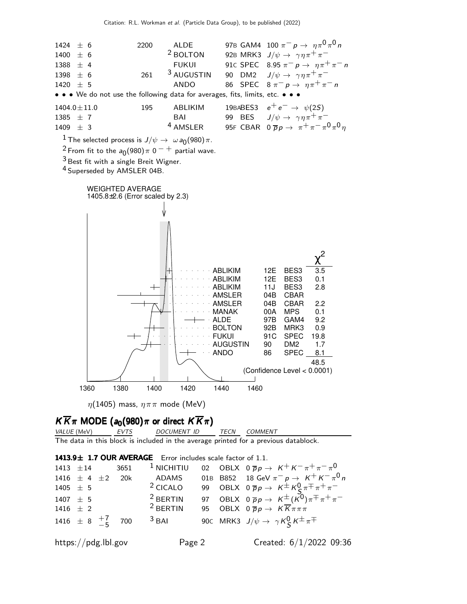

 $\frac{1}{\sqrt{1}}$  The selected process is  $J/\psi \to \omega a_0(980) \pi$ .

<sup>2</sup> From fit to the  $a_0(980)\pi$  0  $^-$  + partial wave.

3 Best fit with a single Breit Wigner.

4 Superseded by AMSLER 04B.



 $\eta(1405)$  mass,  $\eta \pi \pi$  mode (MeV)

# $K \overline{K} \pi$  MODE ( $a_0$ (980) $\pi$  or direct  $K \overline{K} \pi$ )<br>VALUE (MeV) EVTS DOCUMENT ID

DOCUMENT ID TECN COMMENT

The data in this block is included in the average printed for a previous datablock.

 $1413.9\pm 1.7$  OUR AVERAGE Error includes scale factor of 1.1. 1413  $\pm 14$  3651 <sup>1</sup> NICHITIU 02 OBLX 0  $\overline{p}p \rightarrow K^+K^-\pi^+\pi^-\pi^0$  $1416~\pm~4~\pm2~$  20k ADAMS 01B B852 18 GeV  $\pi^{-}$   $p \rightarrow~\textit{K}^{+}$   $\textit{K}^{-}$   $\pi^{0}$   $n$ 1405  $\pm$  5  $2$  CICALO 99 OBLX  $0 \overline{p} p \rightarrow K^{\pm} K^0_S \pi^{\mp} \pi^+ \pi^ 1407 \pm 5$ <sup>2</sup> BERTIN 97 OBLX  $0 \overline{p} p \rightarrow K^{\pm} (K^0) \pi^{\mp} \pi^+ \pi^-$ <br><sup>2</sup> BERTIN 95 OBLX  $0 \overline{p} p \rightarrow K \overline{K} \pi \pi \pi$ 1416  $\pm$  2 95 OBLX  $0 \overline{p} p \rightarrow K \overline{K} \pi \pi \pi$  $1416 \pm 8$  $+7$ −5 700 <sup>3</sup> BAI 90C MRK3  $J/\psi \rightarrow \gamma K_S^0 K^{\pm} \pi^{\mp}$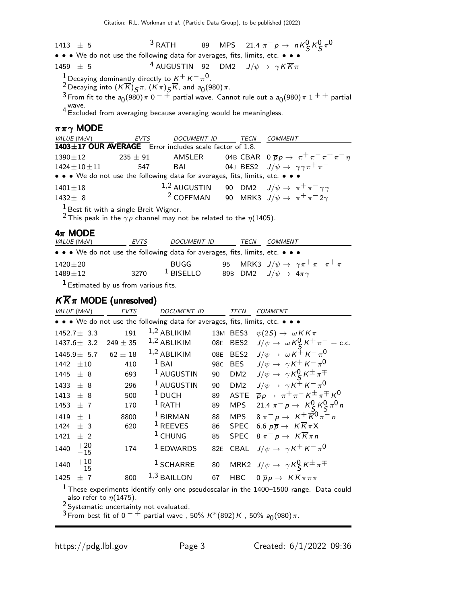1413  $\pm$  5  $^3$  RATH 89 MPS 21.4  $\pi^ p \to nK_S^0 K_S^0 \pi^0$ • • • We do not use the following data for averages, fits, limits, etc. • • •

1459  $\pm$  5 <sup>4</sup> AUGUSTIN 92 DM2  $J/\psi \rightarrow \gamma K \overline{K} \pi$ 

1 Decaying dominantly directly to  $K^+ K^-\pi^0$ .

 $\frac{2}{\pi}$  Decaying into  $(K\overline{K})$ ςπ,  $(K\pi)$ ς $\overline{K}$ , and  $a_0(980)\pi$ .

 $^3$  From fit to the  $a_0(980)$   $\pi$   $0$   $^{-+}$  partial wave. Cannot rule out a  $a_0(980)$   $\pi$   $1$   $^+$  + partial wave. <sup>4</sup> Excluded from averaging because averaging would be meaningless.

#### $\pi \pi \gamma$  MODE

| <i>VALUE</i> (MeV)   | EVTS       | DOCUMENT ID TECN                                                              |  | <i>COMMENT</i>                                                        |
|----------------------|------------|-------------------------------------------------------------------------------|--|-----------------------------------------------------------------------|
|                      |            | 1403±17 OUR AVERAGE Error includes scale factor of 1.8.                       |  |                                                                       |
| $1390\pm12$          | $235\pm91$ | AMSLER                                                                        |  | 04B CBAR $0 \overline{p} p \rightarrow \pi^+ \pi^- \pi^+ \pi^- \eta$  |
| $1424 \pm 10 \pm 11$ | 547        | BAI                                                                           |  | 04J BES2 $J/\psi \rightarrow \gamma \gamma \pi^+ \pi^-$               |
|                      |            | • • • We do not use the following data for averages, fits, limits, etc. • • • |  |                                                                       |
| $1401 \pm 18$        |            | $1,2$ AUGUSTIN                                                                |  | 90 DM2 $J/\psi \rightarrow \pi^+ \pi^- \gamma \gamma$                 |
| $1432 \pm 8$         |            |                                                                               |  | <sup>2</sup> COFFMAN 90 MRK3 $J/\psi \rightarrow \pi^+ \pi^- 2\gamma$ |
|                      |            |                                                                               |  |                                                                       |

 $<sup>1</sup>$  Best fit with a single Breit Wigner.</sup>

<sup>2</sup> This peak in the  $\gamma \rho$  channel may not be related to the  $\eta$ (1405).

#### $4\pi$  MODE

| <i>VALUE</i> (MeV)                                                            | EVTS | <i>DOCUMENT ID</i>   | TECN | <i>COMMENT</i>                           |                                                             |
|-------------------------------------------------------------------------------|------|----------------------|------|------------------------------------------|-------------------------------------------------------------|
| • • • We do not use the following data for averages, fits, limits, etc. • • • |      |                      |      |                                          |                                                             |
| $1420 \pm 20$<br>$1489 \pm 12$                                                | 3270 | BUGG.<br>$1$ BISELLO |      | 89B DM2 $J/\psi \rightarrow 4\pi \gamma$ | 95 MRK3 $J/\psi \rightarrow \gamma \pi^+ \pi^- \pi^+ \pi^-$ |
|                                                                               |      |                      |      |                                          |                                                             |

 $<sup>1</sup>$  Estimated by us from various fits.</sup>

### $K \overline{K} \pi$  MODE (unresolved)

| VALUE (MeV)              | <b>EVTS</b>  | <b>DOCUMENT ID</b>                                                            |                 | TECN             | COMMENT                                                     |
|--------------------------|--------------|-------------------------------------------------------------------------------|-----------------|------------------|-------------------------------------------------------------|
|                          |              | • • • We do not use the following data for averages, fits, limits, etc. • • • |                 |                  |                                                             |
| $1452.7 \pm 3.3$         | 191          | $1,2$ ABLIKIM                                                                 |                 | 13M BES3         | $\psi(2S) \rightarrow \omega K K \pi$                       |
| $1437.6 \pm 3.2$         | $249 \pm 35$ | $1,2$ ABLIKIM                                                                 | 08E             | BES <sub>2</sub> | $J/\psi \rightarrow \omega K_S^0 K^+ \pi^- + \text{c.c.}$   |
| $1445.9 \pm 5.7$         | $62 \pm 18$  | $1,2$ ABLIKIM                                                                 | 08E             | BES <sub>2</sub> | $J/\psi \rightarrow \omega K^{\pm} K^{-} \pi^{0}$           |
| $1442 + 10$              | 410          | $1$ BAI                                                                       | 98 <sub>C</sub> | <b>BES</b>       | $J/\psi \rightarrow \gamma K^+ K^- \pi^0$                   |
| 1445 $\pm$ 8             | 693          | <sup>1</sup> AUGUSTIN                                                         | 90              | DM <sub>2</sub>  | $J/\psi \rightarrow \gamma K_S^0 K^{\pm} \pi^{\mp}$         |
| 1433<br>$+8$             | 296          | <sup>1</sup> AUGUSTIN                                                         | 90              | DM <sub>2</sub>  | $J/\psi \rightarrow \gamma K^+ K^- \pi^0$                   |
| 1413<br>± 8              | 500          | $1$ DUCH                                                                      | 89              | <b>ASTE</b>      | $\overline{p}p \rightarrow \pi^+\pi^- K^{\pm}\pi^{\mp} K^0$ |
| 1453<br>±7               | 170          | $1$ RATH                                                                      | 89              | <b>MPS</b>       | 21.4 $\pi^- p \to K^0_S K^0_S \pi^0 n$                      |
| 1419<br>$+1$             | 8800         | $1$ BIRMAN                                                                    | 88              | <b>MPS</b>       | $8 \pi^{-} p \to K^{+} \overline{K}^{0} \pi^{-} n$          |
| 1424<br>$+3$             | 620          | $1$ REEVES                                                                    | 86              | <b>SPEC</b>      | 6.6 $p\overline{p} \rightarrow K\overline{K}\pi X$          |
| 1421<br>$±$ 2            |              | $1$ CHUNG                                                                     | 85              | <b>SPEC</b>      | $8 \pi^- p \rightarrow K \overline{K} \pi n$                |
| $+20$<br>1440<br>$-15$   | 174          | $1$ EDWARDS                                                                   | 82E             |                  | CBAL $J/\psi \rightarrow \gamma K^+ K^- \pi^0$              |
| $+\,10$<br>1440<br>$-15$ |              | <sup>1</sup> SCHARRE                                                          | 80              |                  | MRK2 $J/\psi \rightarrow \gamma K_S^0 K^{\pm} \pi^{\mp}$    |
| 1425<br>$+$<br>- 7       | 800          | $1,3$ BAILLON                                                                 | 67              | HBC              | $0 \overline{p}p \rightarrow K \overline{K} \pi \pi \pi$    |

<sup>1</sup> These experiments identify only one pseudoscalar in the 1400–1500 range. Data could also refer to  $\eta(1475)$ .

 $\frac{2}{3}$  Systematic uncertainty not evaluated.

 $^3$  From best fit of 0  $^ ^+$  partial wave , 50% K\*(892) K , 50% a<sub>0</sub>(980) $\pi$ .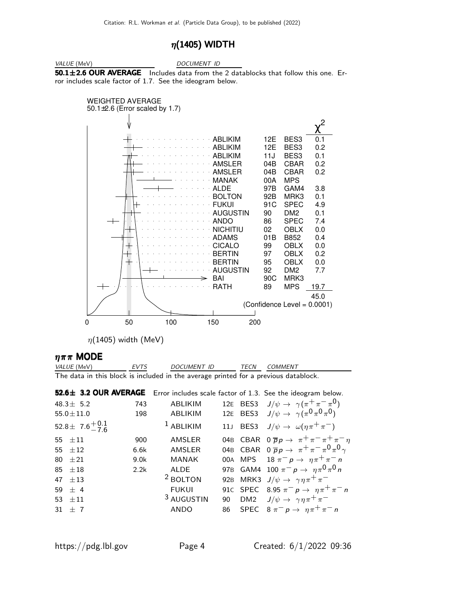### $\eta(1405)$  WIDTH



VALUE (MeV) DOCUMENT ID

 $50.1 \pm 2.6$  OUR AVERAGE Includes data from the 2 datablocks that follow this one. Error includes scale factor of 1.7. See the ideogram below.



 $\eta(1405)$  width (MeV)

#### $\eta \pi \pi$  MODE

| <i>VALUE</i> (MeV)                                                                  | EVTS | <i>DOCUMENT ID</i> | <b>TFCN</b> | <i>COMMENT</i> |
|-------------------------------------------------------------------------------------|------|--------------------|-------------|----------------|
| The data in this block is included in the average printed for a previous datablock. |      |                    |             |                |

|                             |      |                       |  | 52.6± 3.2 OUR AVERAGE Error includes scale factor of 1.3. See the ideogram below. |
|-----------------------------|------|-----------------------|--|-----------------------------------------------------------------------------------|
| $48.3 \pm 5.2$              | 743  | ABLIKIM               |  | 12E BES3 $J/\psi \rightarrow \gamma(\pi^+\pi^-\pi^0)$                             |
| $55.0 \pm 11.0$             | 198  | ABLIKIM               |  | 12E BES3 $J/\psi \rightarrow \gamma(\pi^0 \pi^0 \pi^0)$                           |
| 52.8 ± 7.6 $^{+0.1}_{-7.6}$ |      | $1$ ABLIKIM           |  | 11J BES3 $J/\psi \rightarrow \omega(\eta \pi^+ \pi^-)$                            |
| $55 + 11$                   | 900  | AMSLER                |  | 04B CBAR $0 \overline{p} p \rightarrow \pi^+ \pi^- \pi^+ \pi^- \eta$              |
| 55 $\pm 12$                 | 6.6k | AMSLER                |  | 04B CBAR $0 \overline{p} p \rightarrow \pi^+ \pi^- \pi^0 \pi^0 \gamma$            |
| $80 + 21$                   | 9.0k | MANAK                 |  | 00A MPS $18 \pi^{-} p \rightarrow \eta \pi^{+} \pi^{-} n$                         |
| $85 + 18$                   | 2.2k | ALDE                  |  | 97B GAM4 100 $\pi^- p \to \eta \pi^0 \pi^0 n$                                     |
| $47 + 13$                   |      | <sup>2</sup> BOLTON   |  | 92B MRK3 $J/\psi \rightarrow \gamma \eta \pi^+ \pi^-$                             |
| $59 + 4$                    |      | <b>FUKUI</b>          |  | 91c SPEC 8.95 $\pi^- p \to \eta \pi^+ \pi^- n$                                    |
| 53 $\pm$ 11                 |      | <sup>3</sup> AUGUSTIN |  | 90 DM2 $J/\psi \rightarrow \gamma \eta \pi^+ \pi^-$                               |
| 31 $\pm$ 7                  |      | ANDO                  |  | 86 SPEC $8 \pi^{-} p \to \eta \pi^{+} \pi^{-} n$                                  |
|                             |      |                       |  |                                                                                   |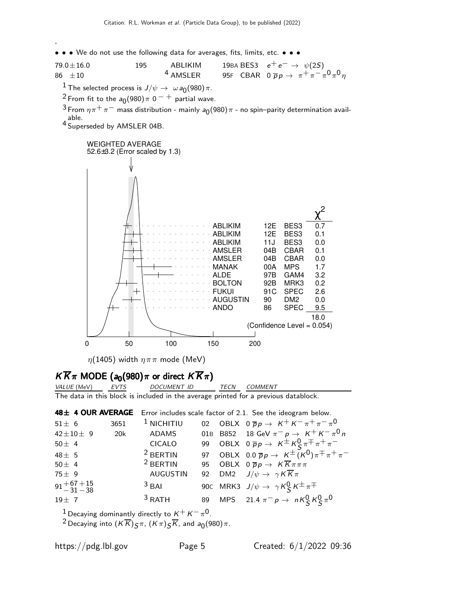' • • • We do not use the following data for averages, fits, limits, etc. • • •

79.0±16.0 195 ABLIKIM 19BA BES3  $e^+e^-$  →  $\psi(2S)$ 86  $\pm 10$   $4$  AMSLER  $95$ F CBAR 0  $\overline{p}p \rightarrow \pi^+ \pi^- \pi^0 \pi^0 \eta$ 

 $\frac{1}{\sqrt{1}}$  The selected process is  $J/\psi \to \omega a_0(980) \pi$ .

<sup>2</sup> From fit to the  $a_0(980)\pi$  0  $^-$  + partial wave.

 $^3$  From  $\eta \pi^+ \pi^-$  mass distribution - mainly  $a_0(980) \pi$  - no spin–parity determination available.

4 Superseded by AMSLER 04B.



 $\eta(1405)$  width  $\eta \pi \pi$  mode (MeV)

# $K \overline{K} \pi$  MODE (a<sub>0</sub>(980) $\pi$  or direct  $K \overline{K} \pi$ )<br>VALUE (MeV) EVTS DOCUMENT ID

The data in this block is included in the average printed for a previous datablock.

48± 4 OUR AVERAGE Error includes scale factor of 2.1. See the ideogram below.

| $51 \pm 6$                   | 3651 | $1$ NICHITIU    |  | 02 OBLX $0 \overline{p} p \rightarrow K^+ K^- \pi^+ \pi^- \pi^0$            |
|------------------------------|------|-----------------|--|-----------------------------------------------------------------------------|
| $42 \pm 10 \pm 9$            | 20k  | ADAMS           |  | 01B B852 18 GeV $\pi^- p \to K^+ K^- \pi^0 n$                               |
| 50 $\pm$ 4                   |      | <b>CICALO</b>   |  | 99 OBLX $0 \overline{p}p \rightarrow K^{\pm} K^0_S \pi^{\mp} \pi^+ \pi^-$   |
| 48 $\pm$ 5                   |      | $2$ BERTIN      |  | 97 OBLX $0.0 \overline{p}p \rightarrow K^{\pm} (K^0) \pi^{\mp} \pi^+ \pi^-$ |
| 50 $\pm$ 4                   |      | $2$ BERTIN      |  | 95 OBLX $0 \overline{p} p \rightarrow K \overline{K} \pi \pi \pi$           |
| $75 \pm 9$                   |      | <b>AUGUSTIN</b> |  | 92 DM2 $J/\psi \rightarrow \gamma K \overline{K} \pi$                       |
| $91 + 67 + 15$<br>$-31 - 38$ |      | $3$ BAI         |  | 90C MRK3 $J/\psi \rightarrow \gamma K^0_S K^{\pm} \pi^{\mp}$                |
| $19 \pm 7$                   |      | $3$ RATH        |  | 89 MPS 21.4 $\pi^- p \to nK_S^0 K_S^0 \pi^0$                                |

 $^1$  Decaying dominantly directly to  $\kappa^+ \, \kappa^- \, \pi^0$ .

 $^2$ Decaying into  $(\overline{K}\overline{K})$  $\overline{S}$  $\pi$ ,  $(\overline{K}\pi)\overline{S}\overline{K}$ , and  $a_0(980)\pi$ .

VALUE (MeV)

 $\Omega$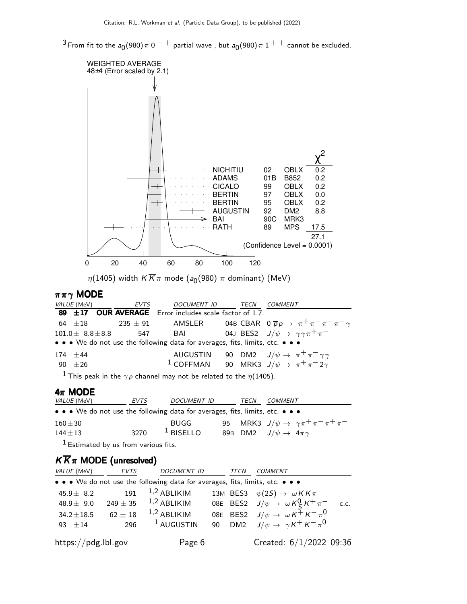$^3$ From fit to the  $a_0$ (980) $\pi$  0  $^ ^+$  partial wave , but  $a_0$ (980) $\pi$  1  $^+$   $^+$  cannot be excluded.



 $\eta(1405)$  width  $K\overline{K}\pi$  mode  $(a_0(980)$   $\pi$  dominant) (MeV)

#### $\pi \pi \gamma$  MODE

| <i>VALUE</i> (MeV)      | EVTS | DOCUMENT ID TECN                                                                             |  | <i>COMMENT</i>                                                                                            |
|-------------------------|------|----------------------------------------------------------------------------------------------|--|-----------------------------------------------------------------------------------------------------------|
|                         |      | 89 $\pm$ 17 OUR AVERAGE Error includes scale factor of 1.7.                                  |  |                                                                                                           |
|                         |      |                                                                                              |  | 64 $\pm$ 18 235 $\pm$ 91 AMSLER 04B CBAR 0 $\overline{p}p \rightarrow \pi^{+}\pi^{-}\pi^{+}\pi^{-}\gamma$ |
| $101.0 \pm 8.8 \pm 8.8$ |      | 547 BAI                                                                                      |  | 04J BES2 $J/\psi \rightarrow \gamma \gamma \pi^+ \pi^-$                                                   |
|                         |      | • • • We do not use the following data for averages, fits, limits, etc. • • •                |  |                                                                                                           |
| $174 + 44$              |      |                                                                                              |  | AUGUSTIN 90 DM2 $J/\psi \rightarrow \pi^+ \pi^- \gamma \gamma$                                            |
| $90 + 26$               |      |                                                                                              |  | <sup>1</sup> COFFMAN 90 MRK3 $J/\psi \rightarrow \pi^+\pi^-2\gamma$                                       |
|                         |      | <sup>1</sup> This peak in the $\gamma \rho$ channel may not be related to the $\eta$ (1405). |  |                                                                                                           |

 $4\pi$  MODE

| <i>VALUE</i> (MeV)                                                            | EVTS | <i>DOCUMENT ID</i> | TECN | COMMENT                                  |                                                             |
|-------------------------------------------------------------------------------|------|--------------------|------|------------------------------------------|-------------------------------------------------------------|
| • • • We do not use the following data for averages, fits, limits, etc. • • • |      |                    |      |                                          |                                                             |
| $160 \pm 30$                                                                  |      | <b>BUGG</b>        |      |                                          | 95 MRK3 $J/\psi \rightarrow \gamma \pi^+ \pi^- \pi^+ \pi^-$ |
| $144 + 13$                                                                    | 3270 | $1$ BISELLO        |      | 89B DM2 $J/\psi \rightarrow 4\pi \gamma$ |                                                             |

 $<sup>1</sup>$  Estimated by us from various fits.</sup>

# $K \overline{K} \pi$  MODE (unresolved)

| VALUE (MeV)         | <b>EVTS</b>  | <b>DOCUMENT ID</b>                                                            | <b>TECN</b> | <b>COMMENT</b>                                              |
|---------------------|--------------|-------------------------------------------------------------------------------|-------------|-------------------------------------------------------------|
|                     |              | • • • We do not use the following data for averages, fits, limits, etc. • • • |             |                                                             |
| 45.9 $\pm$ 8.2      |              | 191 $1,2$ ABLIKIM                                                             |             | 13M BES3 $\psi(2S) \rightarrow \omega K K \pi$              |
| 48.9 $\pm$ 9.0      | $249 \pm 35$ | $1,2$ ABLIKIM                                                                 |             | 08E BES2 $J/\psi \rightarrow \omega K_S^0 K^+ \pi^- +$ c.c. |
| $34.2 \pm 18.5$     | $62 \pm 18$  | $1,2$ ABLIKIM                                                                 |             | 08E BES2 $J/\psi \rightarrow \omega K^+ K^- \pi^0$          |
| $93 + 14$           | 296          | $1$ AUGUSTIN                                                                  |             | 90 DM2 $J/\psi \rightarrow \gamma K^+ K^- \pi^0$            |
| https://pdg.lbl.gov |              | Page 6                                                                        |             | Created: $6/1/2022$ 09:36                                   |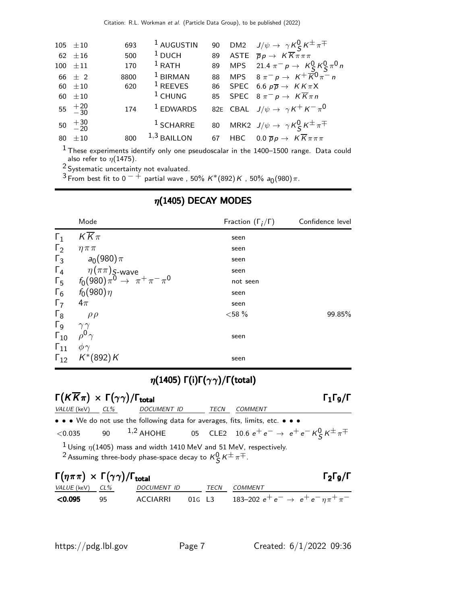| $105 \pm 10$         | 693  | <sup>1</sup> AUGUSTIN |    | 90 DM2 $J/\psi \rightarrow \gamma K_S^0 K^{\pm} \pi^{\mp}$        |
|----------------------|------|-----------------------|----|-------------------------------------------------------------------|
| 62 $\pm 16$          | 500  | $1$ DUCH              | 89 | ASTE $\overline{p}p \rightarrow K \overline{K} \pi \pi \pi$       |
| $100 \pm 11$         | 170  | $1$ RATH              |    | 89 MPS 21.4 $\pi^- p \to K_S^0 K_S^0 \pi^0 n$                     |
| 66 $\pm$ 2           | 8800 | $1$ BIRMAN            |    | 88 MPS $8 \pi^{-} p \to K^{+} \overline{K}^{0} \pi^{-} n$         |
| 60 $\pm 10$          | 620  | $1$ REEVES            |    | 86 SPEC 6.6 $p\overline{p} \rightarrow K K \pi X$                 |
| 60 $\pm 10$          |      | $1$ CHUNG             |    | 85 SPEC $8 \pi^{-} p \rightarrow K \overline{K} \pi n$            |
| $55 \t + 20 \t - 30$ | 174  | $1$ EDWARDS           |    | 82E CBAL $J/\psi \rightarrow \gamma K^+ K^- \pi^0$                |
| $50 \t +30 \t -20$   |      | $1$ SCHARRE           |    | 80 MRK2 $J/\psi \rightarrow \gamma K_S^0 K^{\pm} \pi^{\mp}$       |
| 80 $\pm 10$          | 800  | $1,3$ BAILLON         |    | 67 HBC $0.0 \overline{p}p \rightarrow K \overline{K} \pi \pi \pi$ |
|                      |      |                       |    |                                                                   |

 $^{\rm 1}$ These experiments identify only one pseudoscalar in the 1400–1500 range. Data could also refer to  $\eta(1475)$ .

 $2$  Systematic uncertainty not evaluated.

 $^3$  From best fit to 0  $^ ^+$  partial wave , 50% K\*(892) K , 50% a $_0$ (980) $\pi.$ 

| 99.85% |
|--------|
|        |
|        |
|        |
|        |
|        |

# $\eta(1405)$  DECAY MODES

# $η(1405)$  Γ(i)Γ( $γγ$ )/Γ(total)

| $\Gamma(K\overline{K}\pi) \times \Gamma(\gamma\gamma)/\Gamma_{\text{total}}$ |                                                                                                                                                                         |      |         | $\Gamma_1\Gamma_9/\Gamma$ |
|------------------------------------------------------------------------------|-------------------------------------------------------------------------------------------------------------------------------------------------------------------------|------|---------|---------------------------|
| $VALUE$ (keV) $CL\%$                                                         | DOCUMENT ID                                                                                                                                                             | TECN | COMMENT |                           |
|                                                                              | • • • We do not use the following data for averages, fits, limits, etc. • • •                                                                                           |      |         |                           |
| $<$ 0.035                                                                    | 90 <sup>1,2</sup> AHOHE 05 CLE2 10.6 $e^+e^- \rightarrow e^+e^- K^0_S K^{\pm} \pi^{\mp}$                                                                                |      |         |                           |
|                                                                              | <sup>1</sup> Using $\eta$ (1405) mass and width 1410 MeV and 51 MeV, respectively.<br><sup>2</sup> Assuming three-body phase-space decay to $K^0_S K^{\pm} \pi^{\mp}$ . |      |         |                           |
| $\Gamma(\eta \pi \pi) \times \Gamma(\gamma \gamma) / \Gamma_{\text{total}}$  |                                                                                                                                                                         |      |         | $\Gamma_2\Gamma_9/\Gamma$ |

| " ("" ") * * * (           UOLA |     |             |        |  |                                                      |  |
|---------------------------------|-----|-------------|--------|--|------------------------------------------------------|--|
| <i>VALUE</i> (keV) <i>CL%</i>   |     | DOCUMENT ID |        |  | <i>TECN COMMENT</i>                                  |  |
| ⊂0.095                          | -95 | ACCIARRI    | 01G L3 |  | 183–202 $e^+e^- \rightarrow e^+e^- \eta \pi^+ \pi^-$ |  |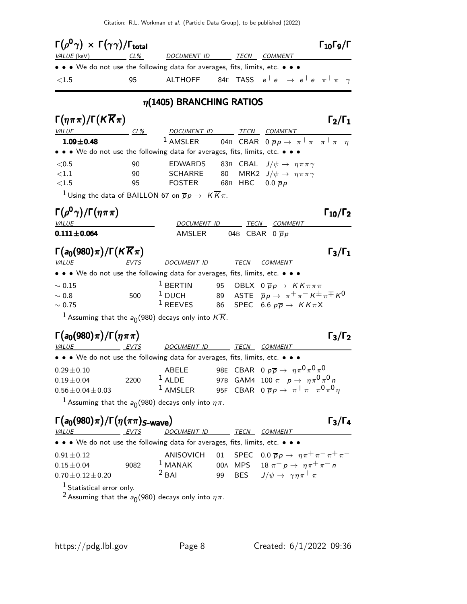Citation: R.L. Workman et al. (Particle Data Group), to be published (2022)

| $\Gamma(\rho^0\gamma) \times \Gamma(\gamma\gamma)/\Gamma_{\rm total}$                          |        |                                                                                          |    |            |                                                                                     | $\Gamma_{10}\Gamma_{9}/\Gamma$ |
|------------------------------------------------------------------------------------------------|--------|------------------------------------------------------------------------------------------|----|------------|-------------------------------------------------------------------------------------|--------------------------------|
| VALUE (keV) CL%                                                                                |        |                                                                                          |    |            | DOCUMENT ID TECN COMMENT                                                            |                                |
| • • • We do not use the following data for averages, fits, limits, etc. • • •                  |        |                                                                                          |    |            |                                                                                     |                                |
| ${<}1.5$                                                                                       | 95     |                                                                                          |    |            | ALTHOFF 84E TASS $e^+e^- \rightarrow e^+e^- \pi^+\pi^-\gamma$                       |                                |
|                                                                                                |        | $\eta$ (1405) BRANCHING RATIOS                                                           |    |            |                                                                                     |                                |
| $\Gamma(\eta \pi \pi)/\Gamma(K \overline{K} \pi)$                                              |        |                                                                                          |    |            |                                                                                     | $\Gamma_2/\Gamma_1$            |
| VALUE                                                                                          | $CL\%$ | DOCUMENT ID TECN COMMENT                                                                 |    |            |                                                                                     |                                |
| $1.09 \pm 0.48$                                                                                |        |                                                                                          |    |            | <sup>1</sup> AMSLER 04B CBAR 0 $\overline{p}p \rightarrow \pi^+\pi^-\pi^+\pi^-\eta$ |                                |
| • • • We do not use the following data for averages, fits, limits, etc. • • •                  |        |                                                                                          |    |            |                                                                                     |                                |
| < 0.5                                                                                          | 90     | EDWARDS                                                                                  |    |            | 83B CBAL $J/\psi \rightarrow \eta \pi \pi \gamma$                                   |                                |
| <1.1                                                                                           | 90     | SCHARRE                                                                                  | 80 |            | MRK2 $J/\psi \rightarrow \eta \pi \pi \gamma$                                       |                                |
| ${<}1.5$                                                                                       | 95     | FOSTER 68B HBC 0.0 $\overline{p}p$                                                       |    |            |                                                                                     |                                |
|                                                                                                |        | <sup>1</sup> Using the data of BAILLON 67 on $\overline{p}p \to K \overline{K}\pi$ .     |    |            |                                                                                     |                                |
| $\Gamma(\rho^0\gamma)/\Gamma(\eta\pi\pi)$                                                      |        |                                                                                          |    |            |                                                                                     | $\Gamma_{10}/\Gamma_2$         |
| <b>VALUE</b>                                                                                   |        | DOCUMENT ID                                                                              |    |            | TECN COMMENT                                                                        |                                |
| $0.111 \pm 0.064$                                                                              |        | AMSLER 04B CBAR $0\overline{p}p$                                                         |    |            |                                                                                     |                                |
| $\Gamma(a_0(980)\pi)/\Gamma(K\overline{K}\pi)$                                                 |        |                                                                                          |    |            |                                                                                     | $\Gamma_3/\Gamma_1$            |
| VALUE<br>EVTS<br>• • • We do not use the following data for averages, fits, limits, etc. • • • |        | DOCUMENT ID TECN COMMENT                                                                 |    |            |                                                                                     |                                |
|                                                                                                |        | $1$ BERTIN                                                                               |    |            | 95 OBLX $0\ \overline{p}p \rightarrow K\overline{K}\pi\pi\pi$                       |                                |
| $\sim 0.15$<br>$\sim$ 0.8                                                                      | 500    | $1$ DUCH                                                                                 |    |            | 89 ASTE $\overline{p}p \rightarrow \pi^+\pi^- K^{\pm}\pi^{\mp} K^0$                 |                                |
| $\sim 0.75$                                                                                    |        | <sup>1</sup> REEVES                                                                      | 86 |            | SPEC 6.6 $p\overline{p} \rightarrow K K \pi X$                                      |                                |
|                                                                                                |        | <sup>1</sup> Assuming that the $a_0(980)$ decays only into $K\overline{K}$ .             |    |            |                                                                                     |                                |
|                                                                                                |        |                                                                                          |    |            |                                                                                     |                                |
| $\Gamma(a_0(980)\pi)/\Gamma(\eta\pi\pi)$                                                       |        |                                                                                          |    |            |                                                                                     | $\Gamma_3/\Gamma_2$            |
| VALUE EVTS                                                                                     |        | DOCUMENT ID TECN COMMENT                                                                 |    |            |                                                                                     |                                |
| • • • We do not use the following data for averages, fits, limits, etc. • • •                  |        |                                                                                          |    |            |                                                                                     |                                |
| $0.29 \pm 0.10$                                                                                |        | ABELE                                                                                    |    |            | 98E CBAR 0 $p\overline{p} \rightarrow \eta \pi^0 \pi^0 \pi^0$                       |                                |
| $0.19 \pm 0.04$                                                                                | 2200   | <sup>1</sup> ALDE 97B GAM4 100 $\pi^- p \to \eta \pi^0 \pi^0 n$                          |    |            |                                                                                     |                                |
| $0.56 \pm 0.04 \pm 0.03$                                                                       |        | <sup>1</sup> AMSLER 95F CBAR $0 \overline{p} p \rightarrow \pi^+ \pi^- \pi^0 \pi^0 \eta$ |    |            |                                                                                     |                                |
|                                                                                                |        | <sup>1</sup> Assuming that the $a_0(980)$ decays only into $\eta\pi$ .                   |    |            |                                                                                     |                                |
| $\Gamma(a_0(980)\pi)/\Gamma(\eta(\pi\pi)_{S\text{-wave}})$                                     |        |                                                                                          |    |            |                                                                                     | $\Gamma_3/\Gamma_4$            |
| VALUE EVTS                                                                                     |        | DOCUMENT ID TECN COMMENT                                                                 |    |            |                                                                                     |                                |
| • • • We do not use the following data for averages, fits, limits, etc. • • •                  |        |                                                                                          |    |            |                                                                                     |                                |
| $0.91 \pm 0.12$                                                                                |        | ANISOVICH                                                                                |    |            | 01 SPEC $0.0 \overline{p}p \rightarrow \eta \pi^+ \pi^- \pi^+ \pi^-$                |                                |
| $0.15 \pm 0.04$                                                                                | 9082   | $1$ MANAK                                                                                |    |            | 00A MPS 18 $\pi^ p \rightarrow \eta \pi^+ \pi^-$ n                                  |                                |
| $0.70 \pm 0.12 \pm 0.20$                                                                       |        | $2$ BAI                                                                                  | 99 | <b>BES</b> | $J/\psi \rightarrow \gamma \eta \pi^+ \pi^-$                                        |                                |
| $1$ Ctatistical array and $\mu$                                                                |        |                                                                                          |    |            |                                                                                     |                                |

 $1$  Statistical error only.

 $^2$  Assuming that the  $a_0$ (980) decays only into  $\eta\pi.$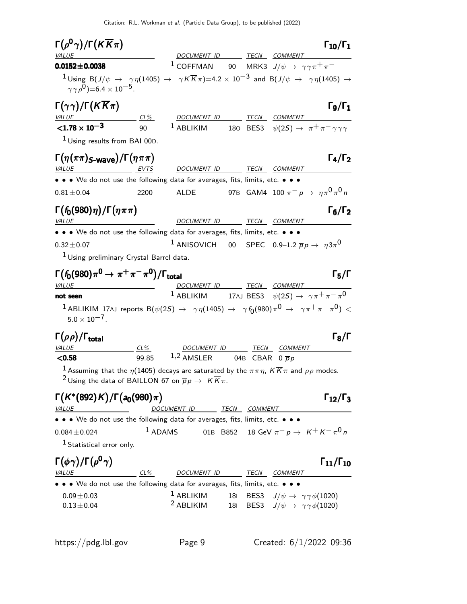Citation: R.L. Workman et al. (Particle Data Group), to be published (2022)

| $\Gamma(\rho^0\gamma)/\Gamma(K\overline{K}\pi)$                                                        |           |                                                                                                                                                                                                                                     | $\Gamma_{10}/\Gamma_1$    |
|--------------------------------------------------------------------------------------------------------|-----------|-------------------------------------------------------------------------------------------------------------------------------------------------------------------------------------------------------------------------------------|---------------------------|
| VALUE                                                                                                  |           | DOCUMENT ID TECN COMMENT                                                                                                                                                                                                            |                           |
| $0.0152 \pm 0.0038$                                                                                    |           | <sup>1</sup> COFFMAN 90 MRK3 $J/\psi \rightarrow \gamma \gamma \pi^+ \pi^-$                                                                                                                                                         |                           |
| $(\gamma \gamma \rho^0) = 6.4 \times 10^{-5}$ .                                                        |           | $1$ Using B $(J/\psi \to \gamma\eta(1405) \to \gamma K \overline{K}\pi)$ =4.2 $\times$ $10^{-3}$ and B $(J/\psi \to \gamma\eta(1405) \to$                                                                                           |                           |
| $\Gamma(\gamma\gamma)/\Gamma(K\overline{K}\pi)$                                                        |           | DOCUMENT ID TECN<br>COMMENT                                                                                                                                                                                                         | $\Gamma_9/\Gamma_1$       |
| <u>VALUE</u> CL%<br><b>C1.78 x 10<sup>-3</sup></b> 90                                                  |           | $1$ ABLIKIM<br>180 BES3 $\psi(2S) \rightarrow \pi^+ \pi^- \gamma \gamma \gamma$                                                                                                                                                     |                           |
| <sup>1</sup> Using results from BAI 00D.                                                               |           |                                                                                                                                                                                                                                     |                           |
| $\Gamma(\eta(\pi\pi)_{S\text{-wave}})/\Gamma(\eta\pi\pi)$                                              |           |                                                                                                                                                                                                                                     | $\Gamma_4/\Gamma_2$       |
| VALUE<br>EVTS                                                                                          |           | DOCUMENT ID TECN COMMENT                                                                                                                                                                                                            |                           |
|                                                                                                        |           | • • • We do not use the following data for averages, fits, limits, etc. • • •                                                                                                                                                       |                           |
| $0.81 \pm 0.04$                                                                                        | 2200      | 97B GAM4 100 $\pi^- p \to \eta \pi^0 \pi^0 n$<br>ALDE                                                                                                                                                                               |                           |
| $\Gamma(f_0(980)\eta)/\Gamma(\eta\pi\pi)$                                                              |           |                                                                                                                                                                                                                                     | $\Gamma_6/\Gamma_2$       |
| <b>VALUE</b>                                                                                           |           | DOCUMENT ID<br>TECN COMMENT                                                                                                                                                                                                         |                           |
|                                                                                                        |           | • • • We do not use the following data for averages, fits, limits, etc. • • •                                                                                                                                                       |                           |
| $0.32 \pm 0.07$                                                                                        |           | <sup>1</sup> ANISOVICH 00 SPEC 0.9–1.2 $\overline{p}p \rightarrow \eta 3\pi$ <sup>0</sup>                                                                                                                                           |                           |
| <sup>1</sup> Using preliminary Crystal Barrel data.                                                    |           |                                                                                                                                                                                                                                     |                           |
|                                                                                                        |           |                                                                                                                                                                                                                                     |                           |
| $\Gamma(f_0(980)\pi^0\to\pi^+\pi^-\pi^0)/\Gamma_{\rm total}$                                           |           |                                                                                                                                                                                                                                     | $\Gamma_5/\Gamma$         |
| <b>VALUE</b>                                                                                           |           | DOCUMENT ID TECN COMMENT                                                                                                                                                                                                            |                           |
| not seen<br>$5.0 \times 10^{-7}$ .                                                                     |           | <sup>1</sup> ABLIKIM 17AJ BES3 $\psi(2S) \rightarrow \gamma \pi^+ \pi^- \pi^0$<br>$^1$ ABLIKIM 17AJ reports B $(\psi(2S) \rightarrow \gamma \eta(1405) \rightarrow \gamma f_0(980) \pi^0 \rightarrow \gamma \pi^+ \pi^- \pi^0) < 0$ |                           |
|                                                                                                        |           |                                                                                                                                                                                                                                     |                           |
| $\Gamma(\rho\rho)/\Gamma_{\rm total}$<br><b>VALUE</b>                                                  | $CL\%$    | TECN COMMENT<br><u>DOCUMENT ID</u>                                                                                                                                                                                                  | $\Gamma_8/\Gamma$         |
| < 0.58                                                                                                 | 99.85     | $1,2$ AMSLER<br>04B CBAR $0\overline{p}p$                                                                                                                                                                                           |                           |
|                                                                                                        |           | $^1$ Assuming that the $\eta(1405)$ decays are saturated by the $\pi\pi\eta$ , $K\overline{K}\pi$ and $\rho\rho$ modes.<br><sup>2</sup> Using the data of BAILLON 67 on $\overline{p}p \to K \overline{K} \pi$ .                    |                           |
| $\Gamma(K^*(892)K)/\Gamma(a_0(980)\pi)$<br><b>VALUE</b><br><u> 1980 - Johann Barnett, fransk konge</u> |           | DOCUMENT ID TECN COMMENT                                                                                                                                                                                                            | $\Gamma_{12}/\Gamma_3$    |
|                                                                                                        |           | • • We do not use the following data for averages, fits, limits, etc. • • •                                                                                                                                                         |                           |
| $0.084 \pm 0.024$                                                                                      | $1$ ADAMS | 01B B852 18 GeV $\pi^ p\to~$ K $^+$ K $^-\pi^0$ $n$                                                                                                                                                                                 |                           |
| <sup>1</sup> Statistical error only.                                                                   |           |                                                                                                                                                                                                                                     |                           |
| $\Gamma(\phi\gamma)/\Gamma(\rho^0\gamma)$<br><b>VALUE</b>                                              | CL%       |                                                                                                                                                                                                                                     | $\Gamma_{11}/\Gamma_{10}$ |
|                                                                                                        |           | DOCUMENT ID TECN COMMENT<br>• • We do not use the following data for averages, fits, limits, etc. • • •                                                                                                                             |                           |
| $0.09 \pm 0.03$                                                                                        |           | $1$ ABLIKIM<br>181 BES3 $J/\psi \rightarrow \gamma \gamma \phi(1020)$                                                                                                                                                               |                           |